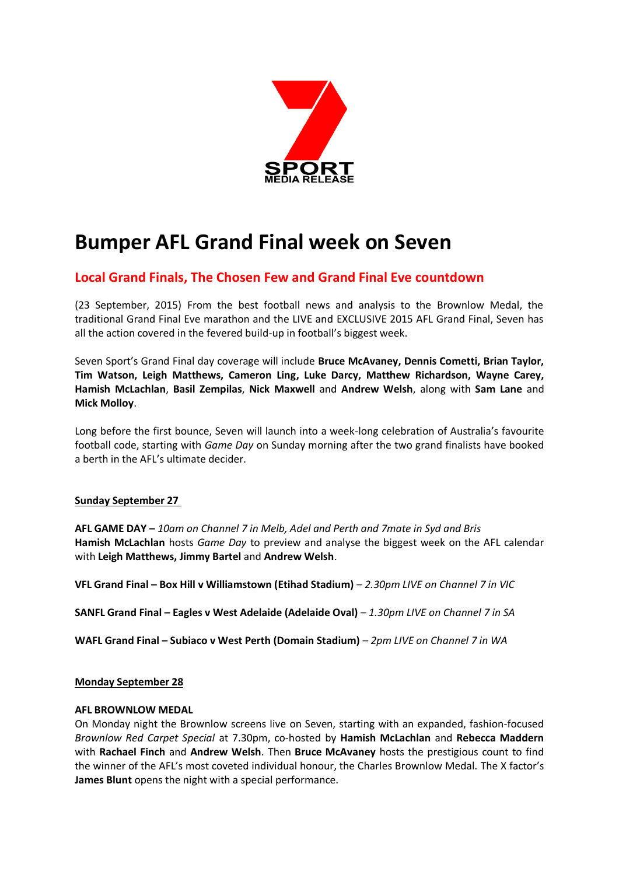

# **Bumper AFL Grand Final week on Seven**

# **Local Grand Finals, The Chosen Few and Grand Final Eve countdown**

(23 September, 2015) From the best football news and analysis to the Brownlow Medal, the traditional Grand Final Eve marathon and the LIVE and EXCLUSIVE 2015 AFL Grand Final, Seven has all the action covered in the fevered build-up in football's biggest week.

Seven Sport's Grand Final day coverage will include **Bruce McAvaney, Dennis Cometti, Brian Taylor, Tim Watson, Leigh Matthews, Cameron Ling, Luke Darcy, Matthew Richardson, Wayne Carey, Hamish McLachlan**, **Basil Zempilas**, **Nick Maxwell** and **Andrew Welsh**, along with **Sam Lane** and **Mick Molloy**.

Long before the first bounce, Seven will launch into a week-long celebration of Australia's favourite football code, starting with *Game Day* on Sunday morning after the two grand finalists have booked a berth in the AFL's ultimate decider.

# **Sunday September 27**

**AFL GAME DAY –** *10am on Channel 7 in Melb, Adel and Perth and 7mate in Syd and Bris* **Hamish McLachlan** hosts *Game Day* to preview and analyse the biggest week on the AFL calendar with **Leigh Matthews, Jimmy Bartel** and **Andrew Welsh**.

**VFL Grand Final – Box Hill v Williamstown (Etihad Stadium)** – *2.30pm LIVE on Channel 7 in VIC*

**SANFL Grand Final – Eagles v West Adelaide (Adelaide Oval)** – *1.30pm LIVE on Channel 7 in SA*

**WAFL Grand Final – Subiaco v West Perth (Domain Stadium)** – *2pm LIVE on Channel 7 in WA*

# **Monday September 28**

#### **AFL BROWNLOW MEDAL**

On Monday night the Brownlow screens live on Seven, starting with an expanded, fashion-focused *Brownlow Red Carpet Special* at 7.30pm, co-hosted by **Hamish McLachlan** and **Rebecca Maddern** with **Rachael Finch** and **Andrew Welsh**. Then **Bruce McAvaney** hosts the prestigious count to find the winner of the AFL's most coveted individual honour, the Charles Brownlow Medal. The X factor's **James Blunt** opens the night with a special performance.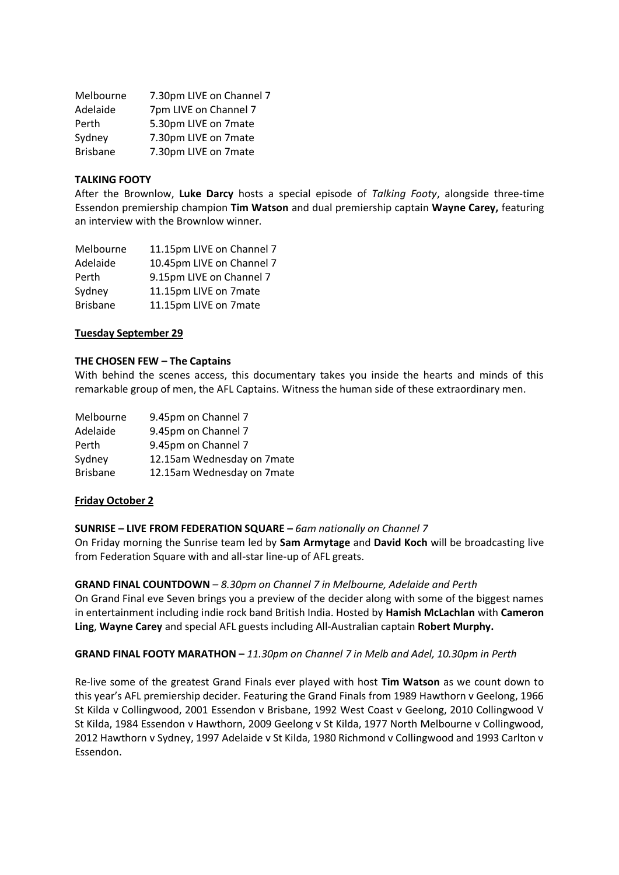| 7.30pm LIVE on Channel 7 |
|--------------------------|
| 7pm LIVE on Channel 7    |
| 5.30pm LIVE on 7mate     |
| 7.30pm LIVE on 7mate     |
| 7.30pm LIVE on 7mate     |
|                          |

#### **TALKING FOOTY**

After the Brownlow, **Luke Darcy** hosts a special episode of *Talking Footy*, alongside three-time Essendon premiership champion **Tim Watson** and dual premiership captain **Wayne Carey,** featuring an interview with the Brownlow winner.

| 11.15pm LIVE on Channel 7 |
|---------------------------|
| 10.45pm LIVE on Channel 7 |
| 9.15pm LIVE on Channel 7  |
| 11.15pm LIVE on 7mate     |
| 11.15pm LIVE on 7mate     |
|                           |

#### **Tuesday September 29**

#### **THE CHOSEN FEW – The Captains**

With behind the scenes access, this documentary takes you inside the hearts and minds of this remarkable group of men, the AFL Captains. Witness the human side of these extraordinary men.

| Melbourne       | 9.45pm on Channel 7        |
|-----------------|----------------------------|
| Adelaide        | 9.45pm on Channel 7        |
| Perth           | 9.45pm on Channel 7        |
| Sydney          | 12.15am Wednesday on 7mate |
| <b>Brisbane</b> | 12.15am Wednesday on 7mate |

#### **Friday October 2**

#### **SUNRISE – LIVE FROM FEDERATION SQUARE –** *6am nationally on Channel 7*

On Friday morning the Sunrise team led by **Sam Armytage** and **David Koch** will be broadcasting live from Federation Square with and all-star line-up of AFL greats.

#### **GRAND FINAL COUNTDOWN** *– 8.30pm on Channel 7 in Melbourne, Adelaide and Perth*

On Grand Final eve Seven brings you a preview of the decider along with some of the biggest names in entertainment including indie rock band British India. Hosted by **Hamish McLachlan** with **Cameron Ling**, **Wayne Carey** and special AFL guests including All-Australian captain **Robert Murphy.**

#### **GRAND FINAL FOOTY MARATHON –** *11.30pm on Channel 7 in Melb and Adel, 10.30pm in Perth*

Re-live some of the greatest Grand Finals ever played with host **Tim Watson** as we count down to this year's AFL premiership decider. Featuring the Grand Finals from 1989 Hawthorn v Geelong, 1966 St Kilda v Collingwood, 2001 Essendon v Brisbane, 1992 West Coast v Geelong, 2010 Collingwood V St Kilda, 1984 Essendon v Hawthorn, 2009 Geelong v St Kilda, 1977 North Melbourne v Collingwood, 2012 Hawthorn v Sydney, 1997 Adelaide v St Kilda, 1980 Richmond v Collingwood and 1993 Carlton v Essendon.